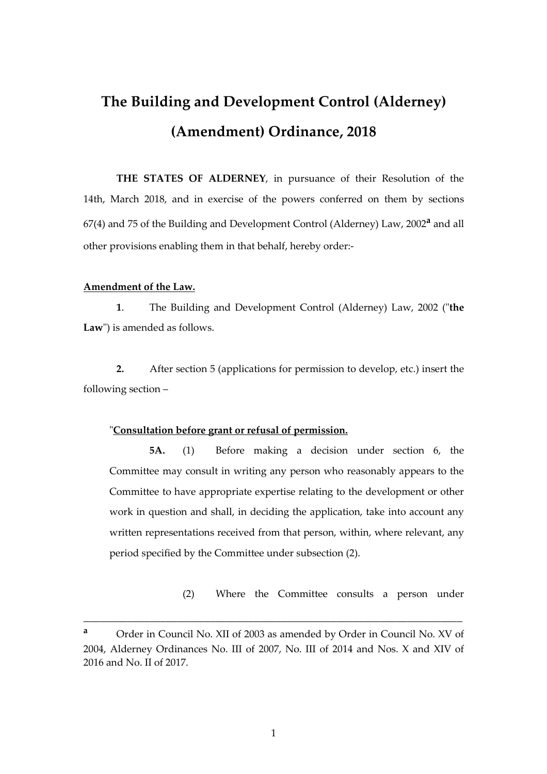# **The Building and Development Control (Alderney) (Amendment) Ordinance, 2018**

**THE STATES OF ALDERNEY**, in pursuance of their Resolution of the 14th, March 2018, and in exercise of the powers conferred on them by sections 67(4) and 75 of the Building and Development Control (Alderney) Law, 2002**a** and all other provisions enabling them in that behalf, hereby order:-

### **Amendment of the Law.**

**1**. The Building and Development Control (Alderney) Law, 2002 ("**the Law**") is amended as follows.

**2.** After section 5 (applications for permission to develop, etc.) insert the following section –

### "**Consultation before grant or refusal of permission.**

 **5A.** (1) Before making a decision under section 6, the Committee may consult in writing any person who reasonably appears to the Committee to have appropriate expertise relating to the development or other work in question and shall, in deciding the application, take into account any written representations received from that person, within, where relevant, any period specified by the Committee under subsection (2).

(2) Where the Committee consults a person under

**<sup>a</sup>** Order in Council No. XII of 2003 as amended by Order in Council No. XV of 2004, Alderney Ordinances No. III of 2007, No. III of 2014 and Nos. X and XIV of 2016 and No. II of 2017.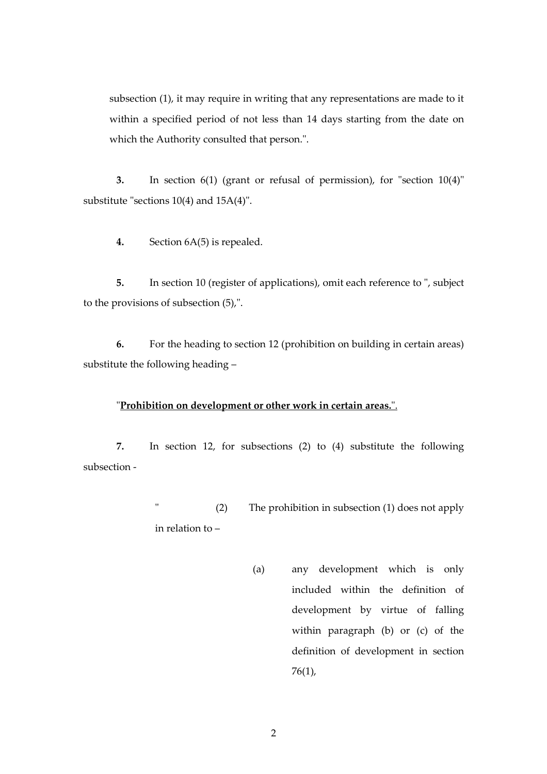subsection (1), it may require in writing that any representations are made to it within a specified period of not less than 14 days starting from the date on which the Authority consulted that person.".

**3.** In section 6(1) (grant or refusal of permission), for "section 10(4)" substitute "sections 10(4) and 15A(4)".

**4.** Section 6A(5) is repealed.

**5.** In section 10 (register of applications), omit each reference to ", subject to the provisions of subsection (5),".

**6.** For the heading to section 12 (prohibition on building in certain areas) substitute the following heading –

#### "**Prohibition on development or other work in certain areas.**".

**7.** In section 12, for subsections (2) to (4) substitute the following subsection -

> " (2) The prohibition in subsection (1) does not apply in relation to –

> > (a) any development which is only included within the definition of development by virtue of falling within paragraph (b) or (c) of the definition of development in section 76(1),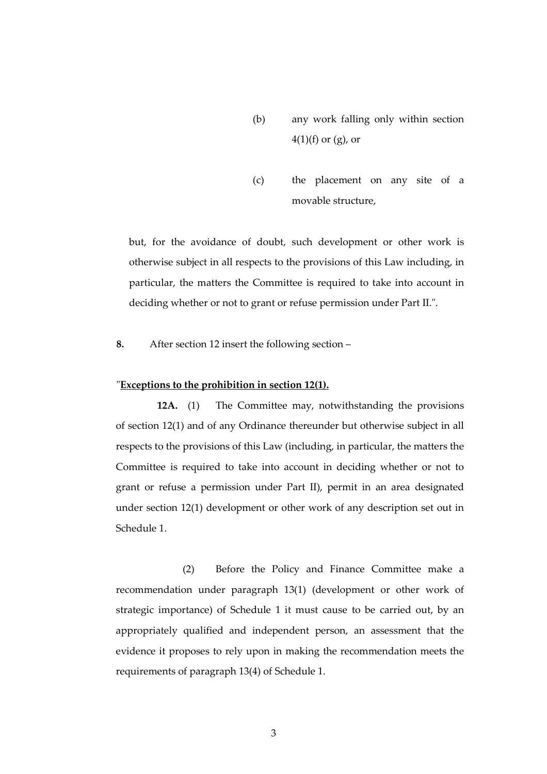- (b) any work falling only within section  $4(1)(f)$  or  $(g)$ , or
- (c) the placement on any site of a movable structure,

but, for the avoidance of doubt, such development or other work is otherwise subject in all respects to the provisions of this Law including, in particular, the matters the Committee is required to take into account in deciding whether or not to grant or refuse permission under Part II.".

**8.** After section 12 insert the following section –

#### "**Exceptions to the prohibition in section 12(1).**

 **12A.** (1) The Committee may, notwithstanding the provisions of section 12(1) and of any Ordinance thereunder but otherwise subject in all respects to the provisions of this Law (including, in particular, the matters the Committee is required to take into account in deciding whether or not to grant or refuse a permission under Part II), permit in an area designated under section 12(1) development or other work of any description set out in Schedule 1.

 (2) Before the Policy and Finance Committee make a recommendation under paragraph 13(1) (development or other work of strategic importance) of Schedule 1 it must cause to be carried out, by an appropriately qualified and independent person, an assessment that the evidence it proposes to rely upon in making the recommendation meets the requirements of paragraph 13(4) of Schedule 1.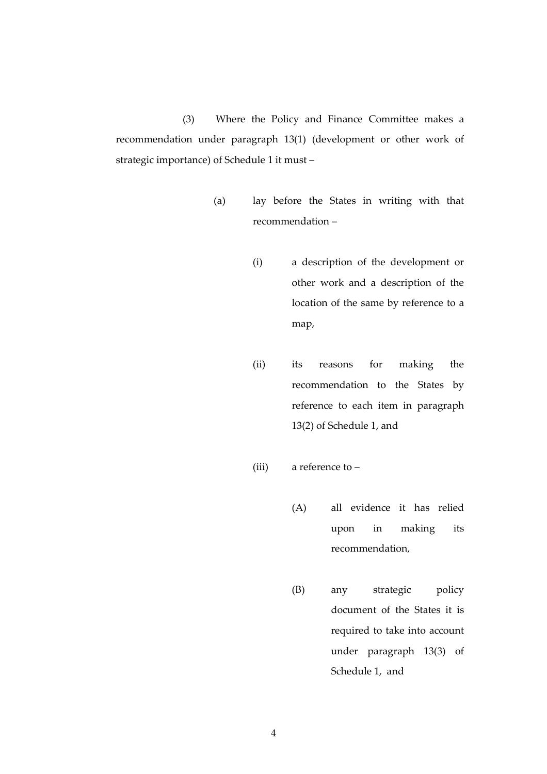(3) Where the Policy and Finance Committee makes a recommendation under paragraph 13(1) (development or other work of strategic importance) of Schedule 1 it must –

- (a) lay before the States in writing with that recommendation –
	- (i) a description of the development or other work and a description of the location of the same by reference to a map,
	- (ii) its reasons for making the recommendation to the States by reference to each item in paragraph 13(2) of Schedule 1, and
	- (iii) a reference to
		- (A) all evidence it has relied upon in making its recommendation,
		- (B) any strategic policy document of the States it is required to take into account under paragraph 13(3) of Schedule 1, and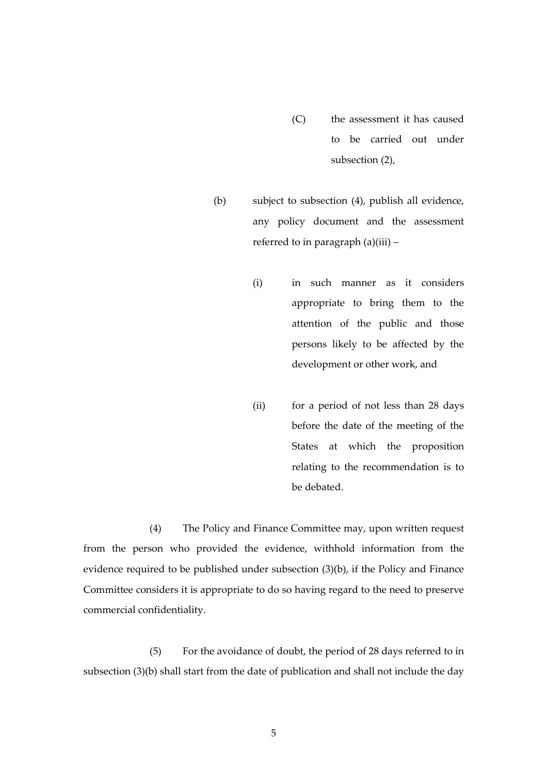- (C) the assessment it has caused to be carried out under subsection (2),
- (b) subject to subsection (4), publish all evidence, any policy document and the assessment referred to in paragraph (a)(iii) –
	- (i) in such manner as it considers appropriate to bring them to the attention of the public and those persons likely to be affected by the development or other work, and
	- (ii) for a period of not less than 28 days before the date of the meeting of the States at which the proposition relating to the recommendation is to be debated.

 (4) The Policy and Finance Committee may, upon written request from the person who provided the evidence, withhold information from the evidence required to be published under subsection (3)(b), if the Policy and Finance Committee considers it is appropriate to do so having regard to the need to preserve commercial confidentiality.

 (5) For the avoidance of doubt, the period of 28 days referred to in subsection (3)(b) shall start from the date of publication and shall not include the day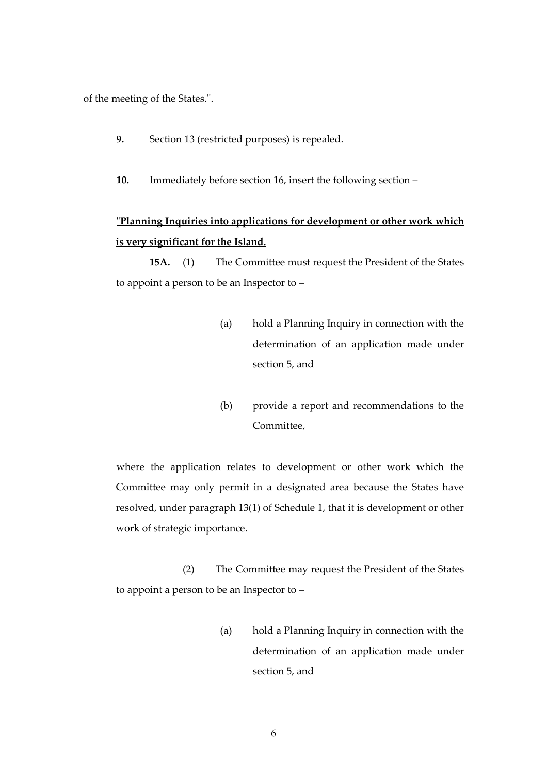of the meeting of the States.".

- **9.** Section 13 (restricted purposes) is repealed.
- **10.** Immediately before section 16, insert the following section –

# "**Planning Inquiries into applications for development or other work which is very significant for the Island.**

 **15A.** (1) The Committee must request the President of the States to appoint a person to be an Inspector to –

- (a) hold a Planning Inquiry in connection with the determination of an application made under section 5, and
- (b) provide a report and recommendations to the Committee,

where the application relates to development or other work which the Committee may only permit in a designated area because the States have resolved, under paragraph 13(1) of Schedule 1, that it is development or other work of strategic importance.

 (2) The Committee may request the President of the States to appoint a person to be an Inspector to –

> (a) hold a Planning Inquiry in connection with the determination of an application made under section 5, and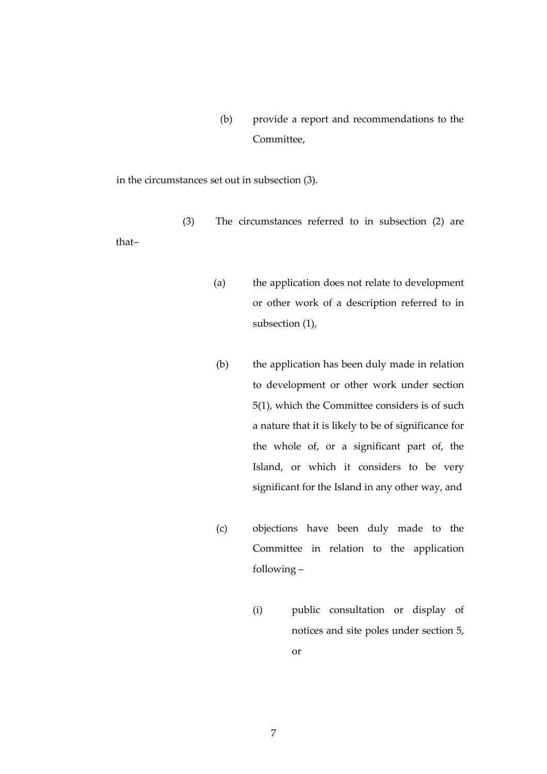(b) provide a report and recommendations to the Committee,

in the circumstances set out in subsection (3).

(3) The circumstances referred to in subsection (2) are

that–

- (a) the application does not relate to development or other work of a description referred to in subsection (1),
- (b) the application has been duly made in relation to development or other work under section 5(1), which the Committee considers is of such a nature that it is likely to be of significance for the whole of, or a significant part of, the Island, or which it considers to be very significant for the Island in any other way, and
- (c) objections have been duly made to the Committee in relation to the application following –
	- (i) public consultation or display of notices and site poles under section 5, or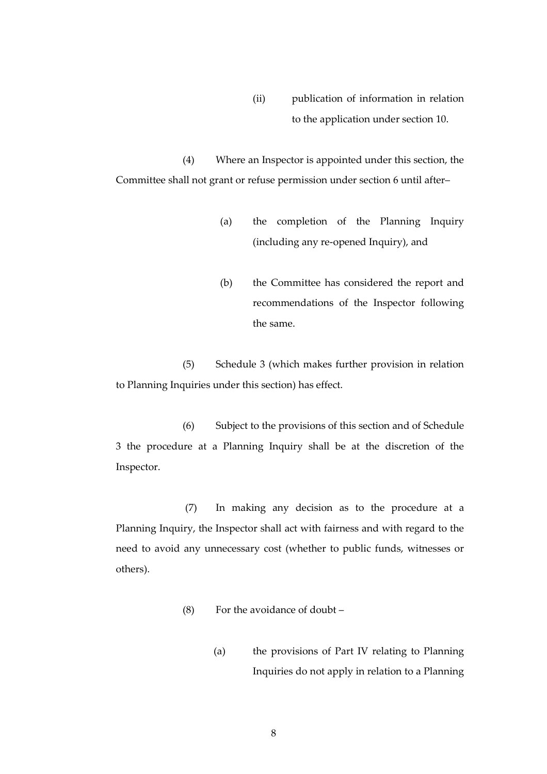(ii) publication of information in relation to the application under section 10.

 (4) Where an Inspector is appointed under this section, the Committee shall not grant or refuse permission under section 6 until after–

- (a) the completion of the Planning Inquiry (including any re-opened Inquiry), and
- (b) the Committee has considered the report and recommendations of the Inspector following the same.

 (5) Schedule 3 (which makes further provision in relation to Planning Inquiries under this section) has effect.

 (6) Subject to the provisions of this section and of Schedule 3 the procedure at a Planning Inquiry shall be at the discretion of the Inspector.

 (7) In making any decision as to the procedure at a Planning Inquiry, the Inspector shall act with fairness and with regard to the need to avoid any unnecessary cost (whether to public funds, witnesses or others).

- (8) For the avoidance of doubt
	- (a) the provisions of Part IV relating to Planning Inquiries do not apply in relation to a Planning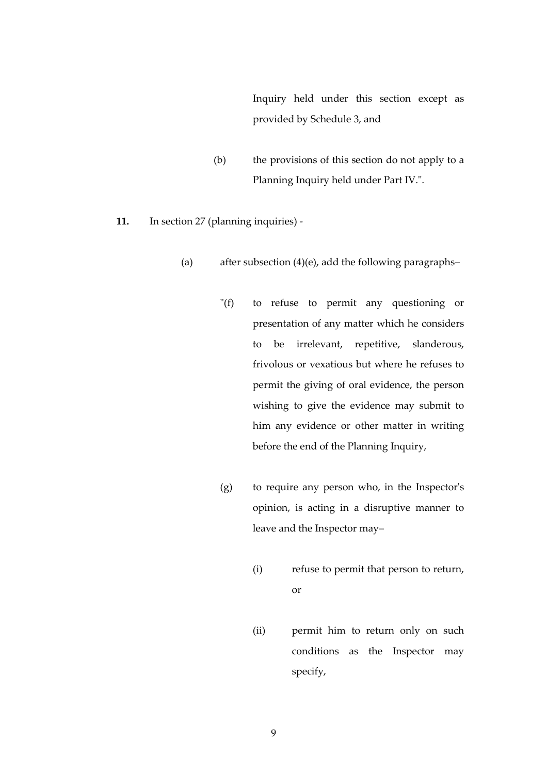Inquiry held under this section except as provided by Schedule 3, and

- (b) the provisions of this section do not apply to a Planning Inquiry held under Part IV.".
- **11.** In section 27 (planning inquiries)
	- (a) after subsection (4)(e), add the following paragraphs–
		- "(f) to refuse to permit any questioning or presentation of any matter which he considers to be irrelevant, repetitive, slanderous, frivolous or vexatious but where he refuses to permit the giving of oral evidence, the person wishing to give the evidence may submit to him any evidence or other matter in writing before the end of the Planning Inquiry,
		- (g) to require any person who, in the Inspector's opinion, is acting in a disruptive manner to leave and the Inspector may–
			- (i) refuse to permit that person to return, or
			- (ii) permit him to return only on such conditions as the Inspector may specify,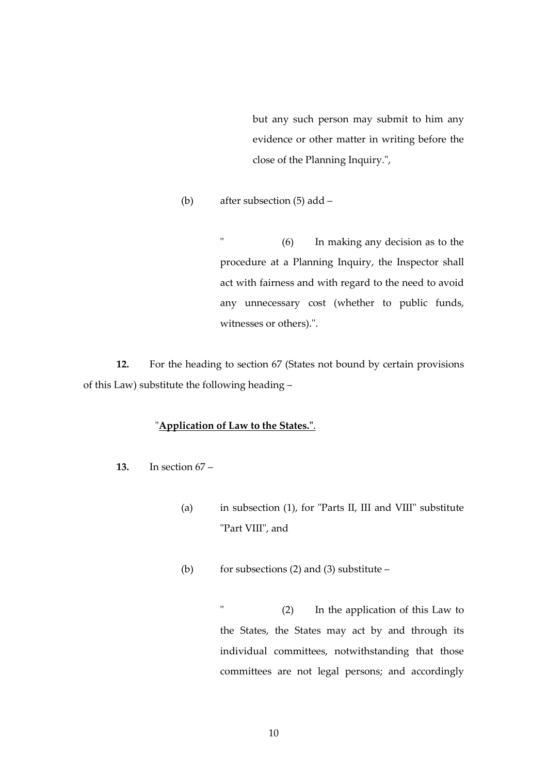but any such person may submit to him any evidence or other matter in writing before the close of the Planning Inquiry.",

(b) after subsection (5) add –

 " (6) In making any decision as to the procedure at a Planning Inquiry, the Inspector shall act with fairness and with regard to the need to avoid any unnecessary cost (whether to public funds, witnesses or others).".

 **12.** For the heading to section 67 (States not bound by certain provisions of this Law) substitute the following heading –

### "**Application of Law to the States."**.

- **13.** In section 67
	- (a) in subsection (1), for "Parts II, III and VIII" substitute "Part VIII", and
	- (b) for subsections (2) and (3) substitute  $-$

 " (2) In the application of this Law to the States, the States may act by and through its individual committees, notwithstanding that those committees are not legal persons; and accordingly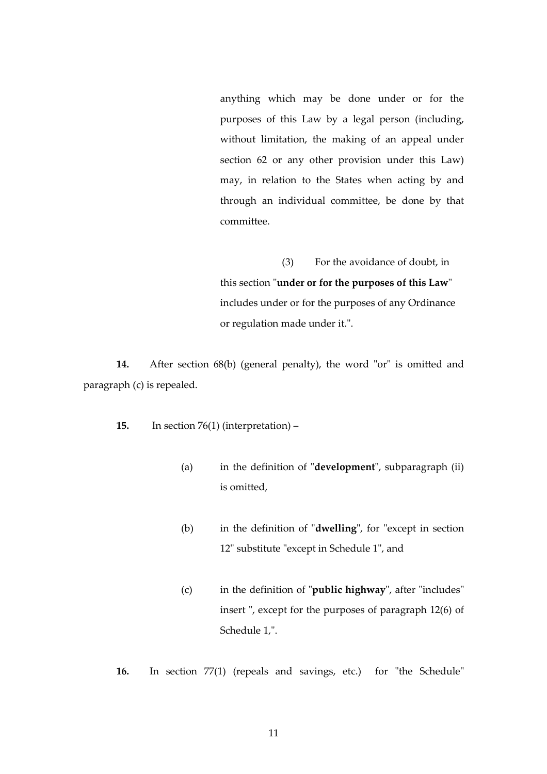anything which may be done under or for the purposes of this Law by a legal person (including, without limitation, the making of an appeal under section 62 or any other provision under this Law) may, in relation to the States when acting by and through an individual committee, be done by that committee.

 (3) For the avoidance of doubt, in this section "**under or for the purposes of this Law**" includes under or for the purposes of any Ordinance or regulation made under it.".

**14.** After section 68(b) (general penalty), the word "or" is omitted and paragraph (c) is repealed.

- **15.** In section 76(1) (interpretation)
	- (a) in the definition of "**development**", subparagraph (ii) is omitted,
	- (b) in the definition of "**dwelling**", for "except in section 12" substitute "except in Schedule 1", and
	- (c) in the definition of "**public highway**", after "includes" insert ", except for the purposes of paragraph 12(6) of Schedule 1,".
- **16.** In section 77(1) (repeals and savings, etc.) for "the Schedule"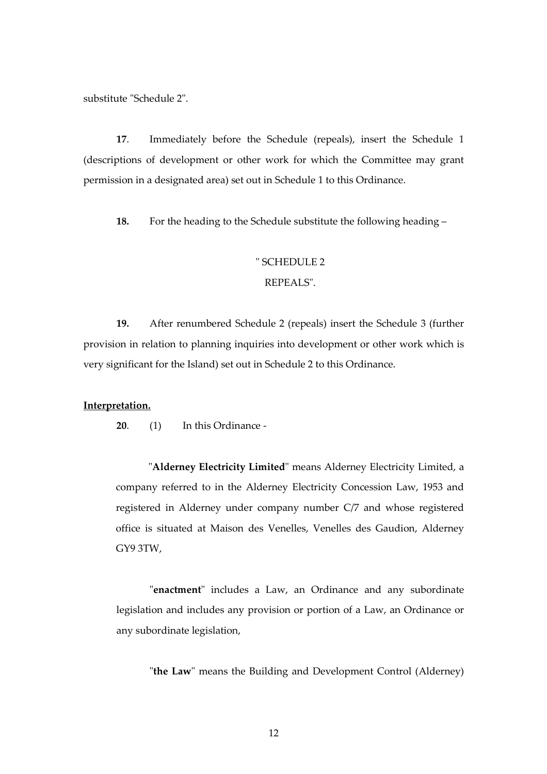substitute "Schedule 2".

**17**. Immediately before the Schedule (repeals), insert the Schedule 1 (descriptions of development or other work for which the Committee may grant permission in a designated area) set out in Schedule 1 to this Ordinance.

**18.** For the heading to the Schedule substitute the following heading –

### " SCHEDULE 2

### REPEALS".

 **19.** After renumbered Schedule 2 (repeals) insert the Schedule 3 (further provision in relation to planning inquiries into development or other work which is very significant for the Island) set out in Schedule 2 to this Ordinance.

#### **Interpretation.**

 **20**. (1) In this Ordinance -

"**Alderney Electricity Limited**" means Alderney Electricity Limited, a company referred to in the Alderney Electricity Concession Law, 1953 and registered in Alderney under company number C/7 and whose registered office is situated at Maison des Venelles, Venelles des Gaudion, Alderney GY9 3TW,

"**enactment**" includes a Law, an Ordinance and any subordinate legislation and includes any provision or portion of a Law, an Ordinance or any subordinate legislation,

"**the Law**" means the Building and Development Control (Alderney)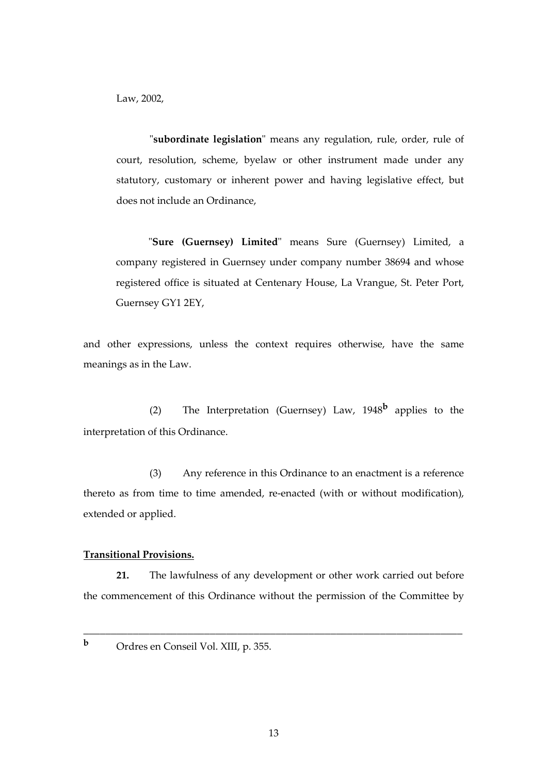Law, 2002,

"**subordinate legislation**" means any regulation, rule, order, rule of court, resolution, scheme, byelaw or other instrument made under any statutory, customary or inherent power and having legislative effect, but does not include an Ordinance,

"**Sure (Guernsey) Limited**" means Sure (Guernsey) Limited, a company registered in Guernsey under company number 38694 and whose registered office is situated at Centenary House, La Vrangue, St. Peter Port, Guernsey GY1 2EY,

and other expressions, unless the context requires otherwise, have the same meanings as in the Law.

 (2) The Interpretation (Guernsey) Law, 1948**b** applies to the interpretation of this Ordinance.

 (3) Any reference in this Ordinance to an enactment is a reference thereto as from time to time amended, re-enacted (with or without modification), extended or applied.

### **Transitional Provisions.**

 **21.** The lawfulness of any development or other work carried out before the commencement of this Ordinance without the permission of the Committee by

**<sup>b</sup>** Ordres en Conseil Vol. XIII, p. 355.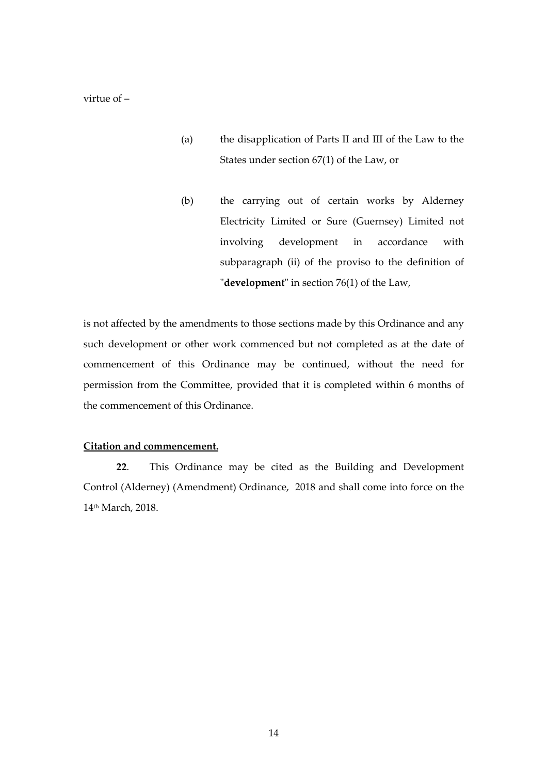virtue of –

- (a) the disapplication of Parts II and III of the Law to the States under section 67(1) of the Law, or
- (b) the carrying out of certain works by Alderney Electricity Limited or Sure (Guernsey) Limited not involving development in accordance with subparagraph (ii) of the proviso to the definition of "**development**" in section 76(1) of the Law,

is not affected by the amendments to those sections made by this Ordinance and any such development or other work commenced but not completed as at the date of commencement of this Ordinance may be continued, without the need for permission from the Committee, provided that it is completed within 6 months of the commencement of this Ordinance.

### **Citation and commencement.**

**22**. This Ordinance may be cited as the Building and Development Control (Alderney) (Amendment) Ordinance, 2018 and shall come into force on the 14th March, 2018.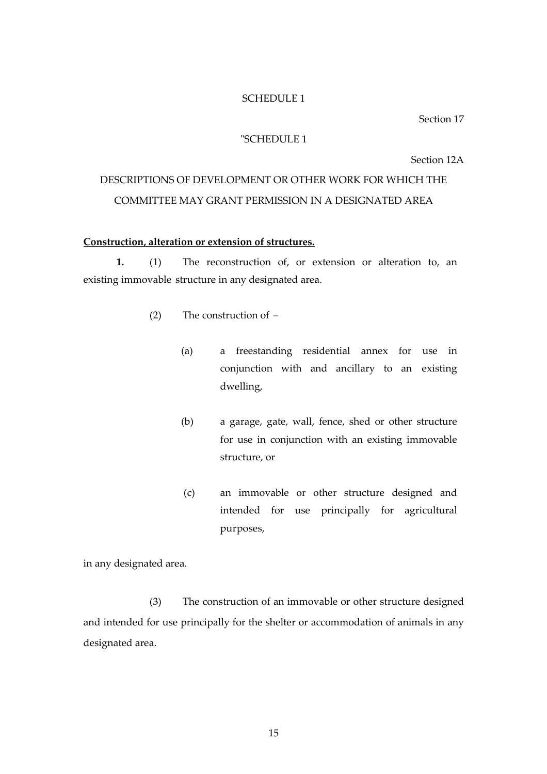#### SCHEDULE 1

Section 17

### "SCHEDULE 1

Section 12A

# DESCRIPTIONS OF DEVELOPMENT OR OTHER WORK FOR WHICH THE COMMITTEE MAY GRANT PERMISSION IN A DESIGNATED AREA

### **Construction, alteration or extension of structures.**

 **1.** (1) The reconstruction of, or extension or alteration to, an existing immovable structure in any designated area.

- (2) The construction of
	- (a) a freestanding residential annex for use in conjunction with and ancillary to an existing dwelling,
	- (b) a garage, gate, wall, fence, shed or other structure for use in conjunction with an existing immovable structure, or
	- (c) an immovable or other structure designed and intended for use principally for agricultural purposes,

in any designated area.

 (3) The construction of an immovable or other structure designed and intended for use principally for the shelter or accommodation of animals in any designated area.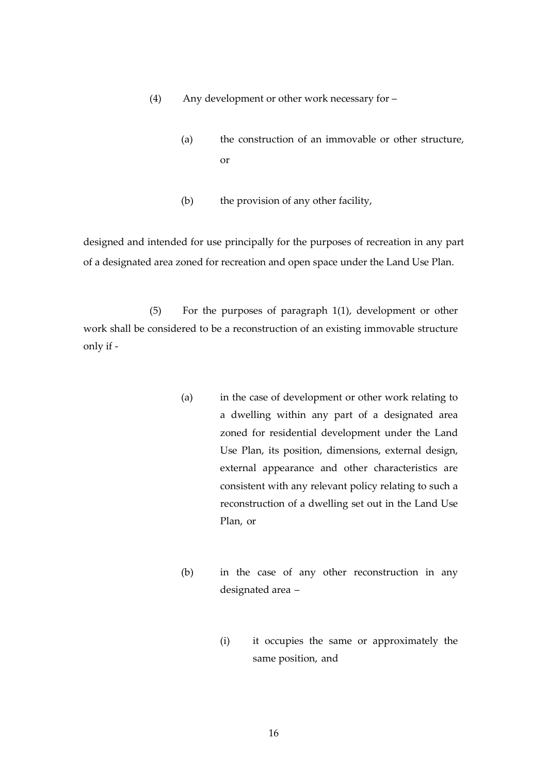- (4) Any development or other work necessary for
	- (a) the construction of an immovable or other structure, or
	- (b) the provision of any other facility,

designed and intended for use principally for the purposes of recreation in any part of a designated area zoned for recreation and open space under the Land Use Plan.

 (5) For the purposes of paragraph 1(1), development or other work shall be considered to be a reconstruction of an existing immovable structure only if -

- (a) in the case of development or other work relating to a dwelling within any part of a designated area zoned for residential development under the Land Use Plan, its position, dimensions, external design, external appearance and other characteristics are consistent with any relevant policy relating to such a reconstruction of a dwelling set out in the Land Use Plan, or
- (b) in the case of any other reconstruction in any designated area –
	- (i) it occupies the same or approximately the same position, and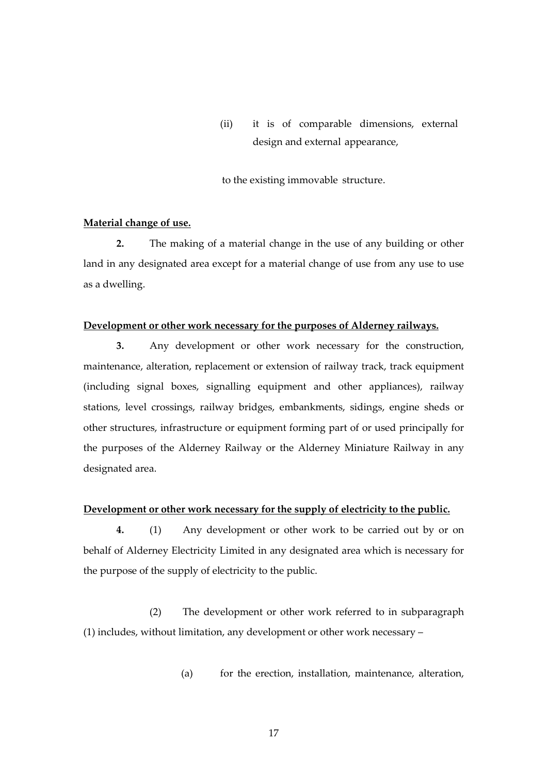(ii) it is of comparable dimensions, external design and external appearance,

to the existing immovable structure.

### **Material change of use.**

 **2.** The making of a material change in the use of any building or other land in any designated area except for a material change of use from any use to use as a dwelling.

#### **Development or other work necessary for the purposes of Alderney railways.**

 **3.** Any development or other work necessary for the construction, maintenance, alteration, replacement or extension of railway track, track equipment (including signal boxes, signalling equipment and other appliances), railway stations, level crossings, railway bridges, embankments, sidings, engine sheds or other structures, infrastructure or equipment forming part of or used principally for the purposes of the Alderney Railway or the Alderney Miniature Railway in any designated area.

### **Development or other work necessary for the supply of electricity to the public.**

 **4.** (1) Any development or other work to be carried out by or on behalf of Alderney Electricity Limited in any designated area which is necessary for the purpose of the supply of electricity to the public.

 (2) The development or other work referred to in subparagraph (1) includes, without limitation, any development or other work necessary –

(a) for the erection, installation, maintenance, alteration,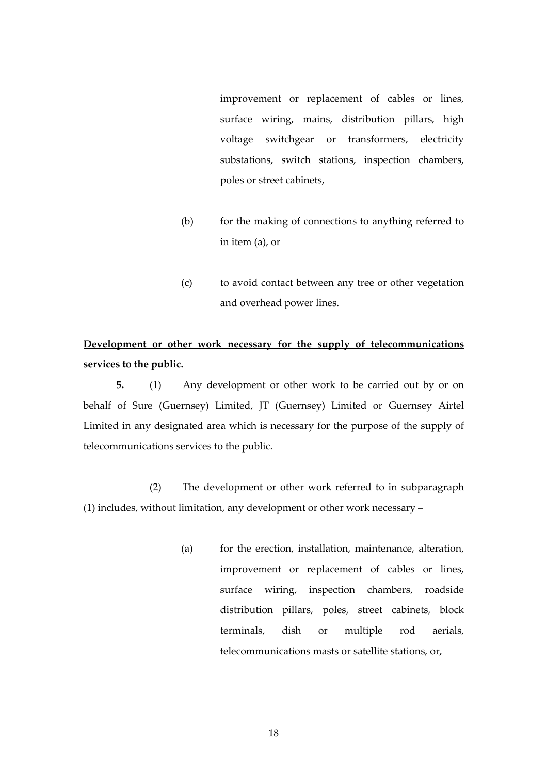improvement or replacement of cables or lines, surface wiring, mains, distribution pillars, high voltage switchgear or transformers, electricity substations, switch stations, inspection chambers, poles or street cabinets,

- (b) for the making of connections to anything referred to in item (a), or
- (c) to avoid contact between any tree or other vegetation and overhead power lines.

# **Development or other work necessary for the supply of telecommunications services to the public.**

 **5.** (1) Any development or other work to be carried out by or on behalf of Sure (Guernsey) Limited, JT (Guernsey) Limited or Guernsey Airtel Limited in any designated area which is necessary for the purpose of the supply of telecommunications services to the public.

 (2) The development or other work referred to in subparagraph (1) includes, without limitation, any development or other work necessary –

> (a) for the erection, installation, maintenance, alteration, improvement or replacement of cables or lines, surface wiring, inspection chambers, roadside distribution pillars, poles, street cabinets, block terminals, dish or multiple rod aerials, telecommunications masts or satellite stations, or,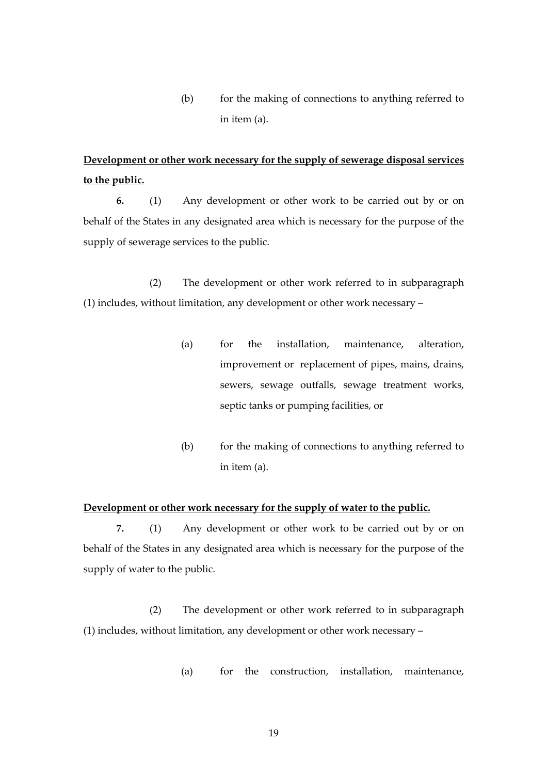(b) for the making of connections to anything referred to in item (a).

# **Development or other work necessary for the supply of sewerage disposal services to the public.**

 **6.** (1) Any development or other work to be carried out by or on behalf of the States in any designated area which is necessary for the purpose of the supply of sewerage services to the public.

 (2) The development or other work referred to in subparagraph (1) includes, without limitation, any development or other work necessary –

- (a) for the installation, maintenance, alteration, improvement or replacement of pipes, mains, drains, sewers, sewage outfalls, sewage treatment works, septic tanks or pumping facilities, or
- (b) for the making of connections to anything referred to in item (a).

### **Development or other work necessary for the supply of water to the public.**

 **7.** (1) Any development or other work to be carried out by or on behalf of the States in any designated area which is necessary for the purpose of the supply of water to the public.

 (2) The development or other work referred to in subparagraph (1) includes, without limitation, any development or other work necessary –

(a) for the construction, installation, maintenance,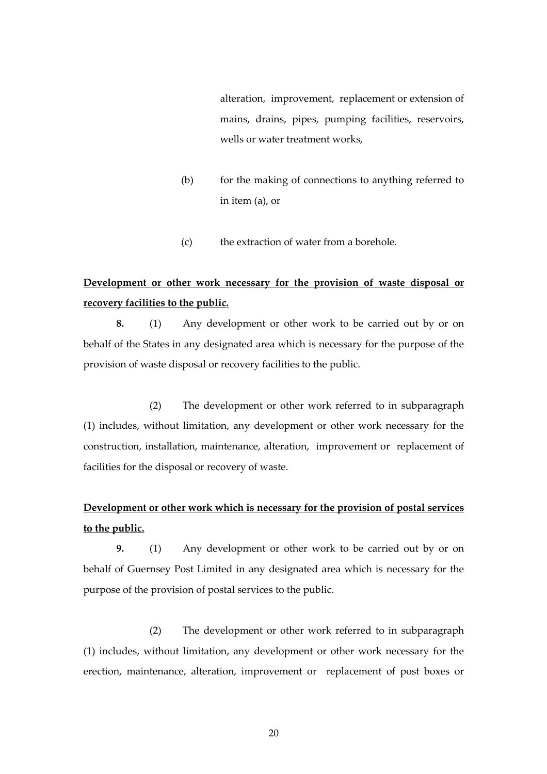alteration, improvement, replacement or extension of mains, drains, pipes, pumping facilities, reservoirs, wells or water treatment works,

- (b) for the making of connections to anything referred to in item (a), or
- (c) the extraction of water from a borehole.

# **Development or other work necessary for the provision of waste disposal or recovery facilities to the public.**

 **8.** (1) Any development or other work to be carried out by or on behalf of the States in any designated area which is necessary for the purpose of the provision of waste disposal or recovery facilities to the public.

 (2) The development or other work referred to in subparagraph (1) includes, without limitation, any development or other work necessary for the construction, installation, maintenance, alteration, improvement or replacement of facilities for the disposal or recovery of waste.

# **Development or other work which is necessary for the provision of postal services to the public.**

 **9.** (1) Any development or other work to be carried out by or on behalf of Guernsey Post Limited in any designated area which is necessary for the purpose of the provision of postal services to the public.

 (2) The development or other work referred to in subparagraph (1) includes, without limitation, any development or other work necessary for the erection, maintenance, alteration, improvement or replacement of post boxes or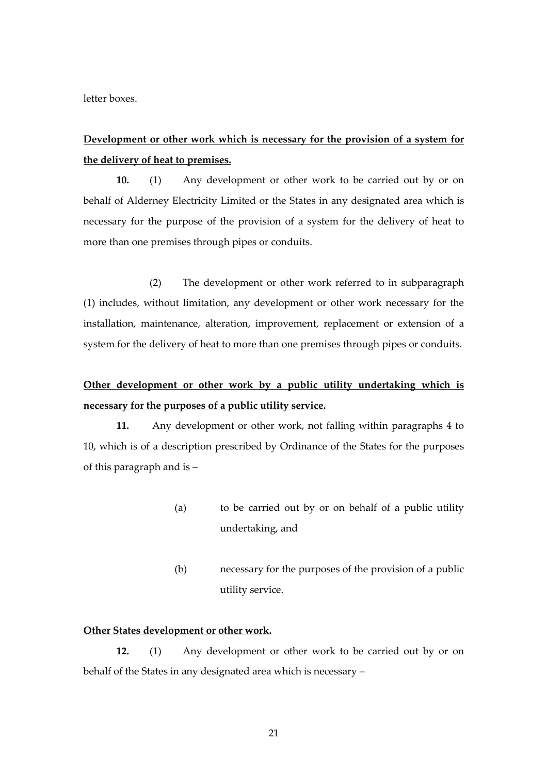letter boxes.

# **Development or other work which is necessary for the provision of a system for the delivery of heat to premises.**

**10.** (1) Any development or other work to be carried out by or on behalf of Alderney Electricity Limited or the States in any designated area which is necessary for the purpose of the provision of a system for the delivery of heat to more than one premises through pipes or conduits.

 (2) The development or other work referred to in subparagraph (1) includes, without limitation, any development or other work necessary for the installation, maintenance, alteration, improvement, replacement or extension of a system for the delivery of heat to more than one premises through pipes or conduits.

# **Other development or other work by a public utility undertaking which is necessary for the purposes of a public utility service.**

**11.** Any development or other work, not falling within paragraphs 4 to 10, which is of a description prescribed by Ordinance of the States for the purposes of this paragraph and is –

- (a) to be carried out by or on behalf of a public utility undertaking, and
- (b) necessary for the purposes of the provision of a public utility service.

### **Other States development or other work.**

**12.** (1) Any development or other work to be carried out by or on behalf of the States in any designated area which is necessary –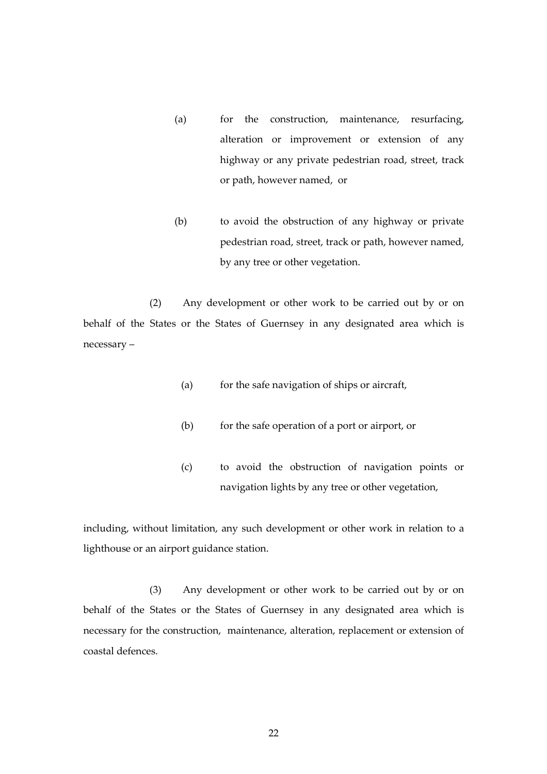- (a) for the construction, maintenance, resurfacing, alteration or improvement or extension of any highway or any private pedestrian road, street, track or path, however named, or
- (b) to avoid the obstruction of any highway or private pedestrian road, street, track or path, however named, by any tree or other vegetation.

 (2) Any development or other work to be carried out by or on behalf of the States or the States of Guernsey in any designated area which is necessary –

- (a) for the safe navigation of ships or aircraft,
- (b) for the safe operation of a port or airport, or
- (c) to avoid the obstruction of navigation points or navigation lights by any tree or other vegetation,

including, without limitation, any such development or other work in relation to a lighthouse or an airport guidance station.

 (3) Any development or other work to be carried out by or on behalf of the States or the States of Guernsey in any designated area which is necessary for the construction, maintenance, alteration, replacement or extension of coastal defences.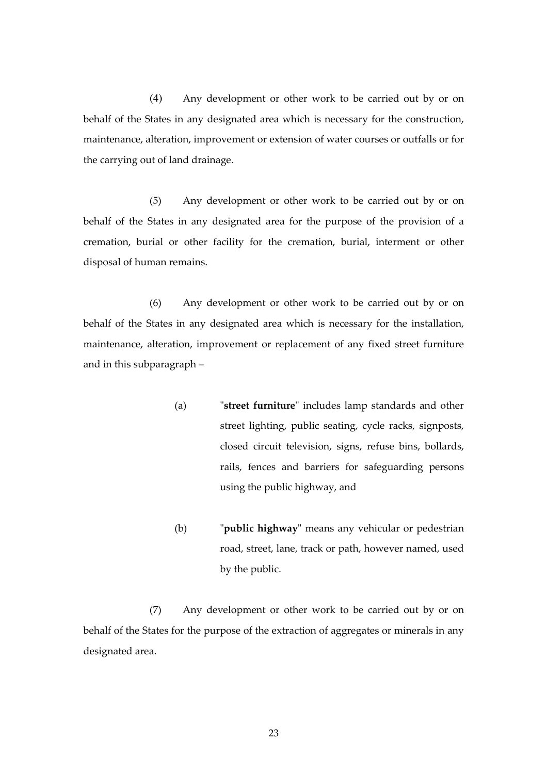(4) Any development or other work to be carried out by or on behalf of the States in any designated area which is necessary for the construction, maintenance, alteration, improvement or extension of water courses or outfalls or for the carrying out of land drainage.

 (5) Any development or other work to be carried out by or on behalf of the States in any designated area for the purpose of the provision of a cremation, burial or other facility for the cremation, burial, interment or other disposal of human remains.

 (6) Any development or other work to be carried out by or on behalf of the States in any designated area which is necessary for the installation, maintenance, alteration, improvement or replacement of any fixed street furniture and in this subparagraph –

- (a) "**street furniture**" includes lamp standards and other street lighting, public seating, cycle racks, signposts, closed circuit television, signs, refuse bins, bollards, rails, fences and barriers for safeguarding persons using the public highway, and
- (b) "**public highway**" means any vehicular or pedestrian road, street, lane, track or path, however named, used by the public.

(7) Any development or other work to be carried out by or on behalf of the States for the purpose of the extraction of aggregates or minerals in any designated area.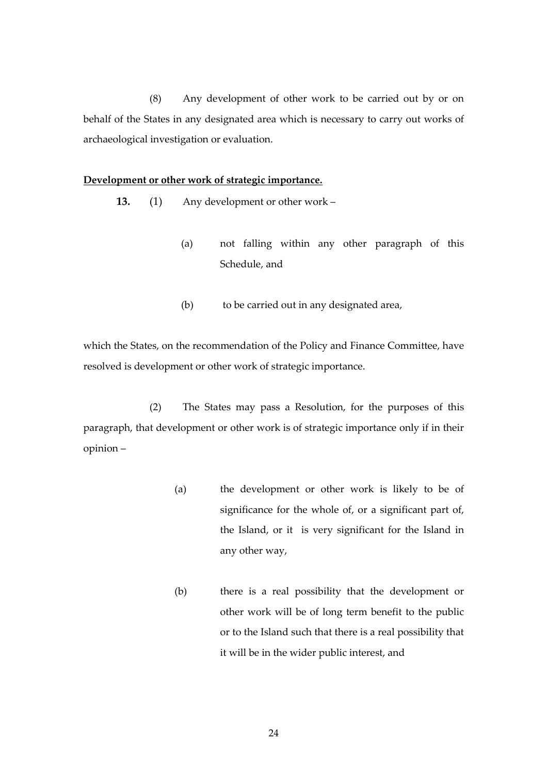(8) Any development of other work to be carried out by or on behalf of the States in any designated area which is necessary to carry out works of archaeological investigation or evaluation.

#### **Development or other work of strategic importance.**

- **13.** (1) Any development or other work
	- (a) not falling within any other paragraph of this Schedule, and
	- (b) to be carried out in any designated area,

which the States, on the recommendation of the Policy and Finance Committee, have resolved is development or other work of strategic importance.

 (2) The States may pass a Resolution, for the purposes of this paragraph, that development or other work is of strategic importance only if in their opinion –

- (a) the development or other work is likely to be of significance for the whole of, or a significant part of, the Island, or it is very significant for the Island in any other way,
- (b) there is a real possibility that the development or other work will be of long term benefit to the public or to the Island such that there is a real possibility that it will be in the wider public interest, and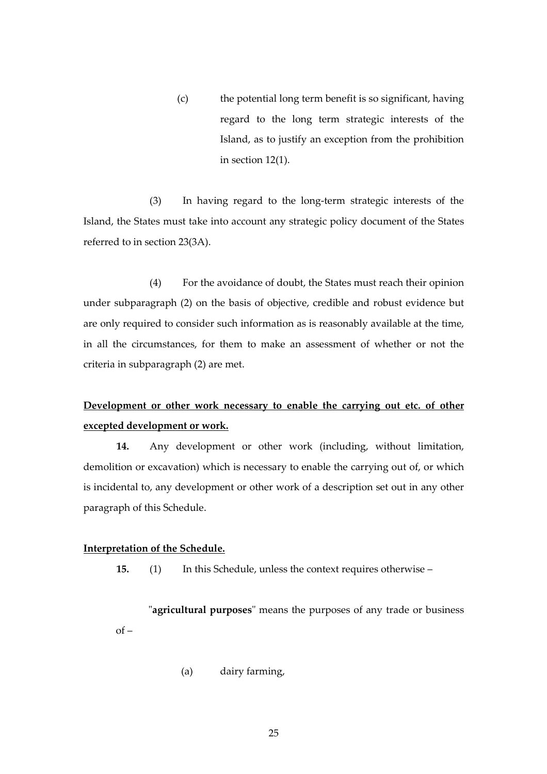(c) the potential long term benefit is so significant, having regard to the long term strategic interests of the Island, as to justify an exception from the prohibition in section 12(1).

 (3) In having regard to the long-term strategic interests of the Island, the States must take into account any strategic policy document of the States referred to in section 23(3A).

 (4) For the avoidance of doubt, the States must reach their opinion under subparagraph (2) on the basis of objective, credible and robust evidence but are only required to consider such information as is reasonably available at the time, in all the circumstances, for them to make an assessment of whether or not the criteria in subparagraph (2) are met.

# **Development or other work necessary to enable the carrying out etc. of other excepted development or work.**

 **14.** Any development or other work (including, without limitation, demolition or excavation) which is necessary to enable the carrying out of, or which is incidental to, any development or other work of a description set out in any other paragraph of this Schedule.

### **Interpretation of the Schedule.**

**15.** (1) In this Schedule, unless the context requires otherwise –

"**agricultural purposes**" means the purposes of any trade or business  $of -$ 

(a) dairy farming,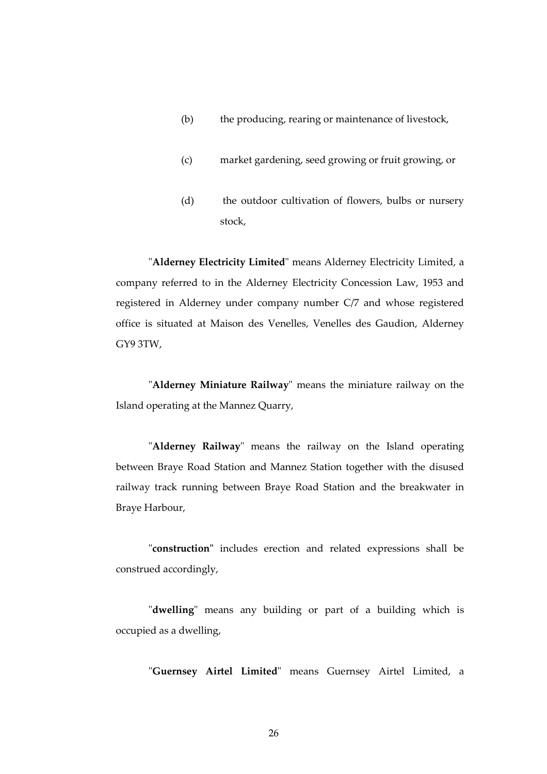- (b) the producing, rearing or maintenance of livestock,
- (c) market gardening, seed growing or fruit growing, or
- (d) the outdoor cultivation of flowers, bulbs or nursery stock,

"**Alderney Electricity Limited**" means Alderney Electricity Limited, a company referred to in the Alderney Electricity Concession Law, 1953 and registered in Alderney under company number C/7 and whose registered office is situated at Maison des Venelles, Venelles des Gaudion, Alderney GY9 3TW,

"**Alderney Miniature Railway**" means the miniature railway on the Island operating at the Mannez Quarry,

"**Alderney Railway**" means the railway on the Island operating between Braye Road Station and Mannez Station together with the disused railway track running between Braye Road Station and the breakwater in Braye Harbour,

"**construction"** includes erection and related expressions shall be construed accordingly,

"**dwelling**" means any building or part of a building which is occupied as a dwelling,

"**Guernsey Airtel Limited**" means Guernsey Airtel Limited, a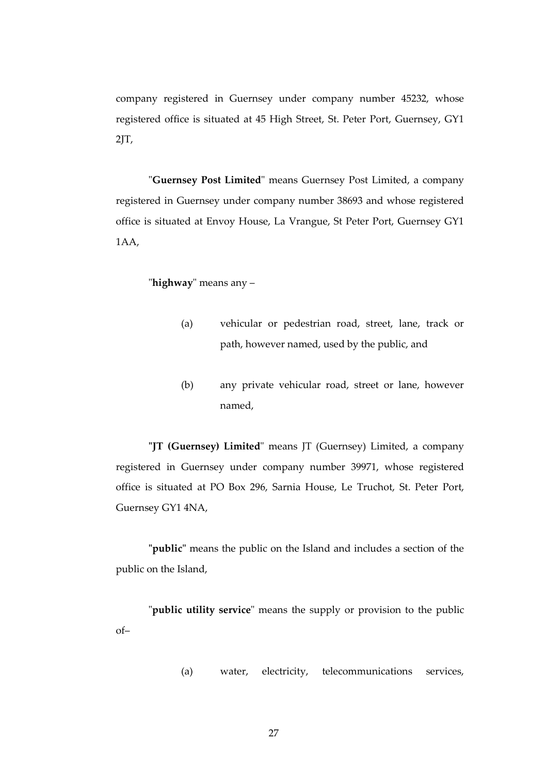company registered in Guernsey under company number 45232, whose registered office is situated at 45 High Street, St. Peter Port, Guernsey, GY1 2JT,

"**Guernsey Post Limited**" means Guernsey Post Limited, a company registered in Guernsey under company number 38693 and whose registered office is situated at Envoy House, La Vrangue, St Peter Port, Guernsey GY1 1AA,

"**highway**" means any –

- (a) vehicular or pedestrian road, street, lane, track or path, however named, used by the public, and
- (b) any private vehicular road, street or lane, however named,

**"JT (Guernsey) Limited**" means JT (Guernsey) Limited, a company registered in Guernsey under company number 39971, whose registered office is situated at PO Box 296, Sarnia House, Le Truchot, St. Peter Port, Guernsey GY1 4NA,

**"public"** means the public on the Island and includes a section of the public on the Island,

"**public utility service**" means the supply or provision to the public of–

(a) water, electricity, telecommunications services,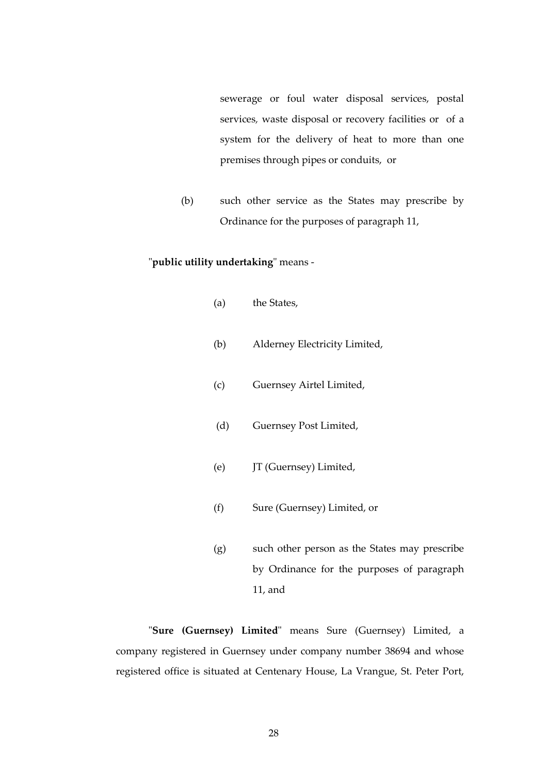sewerage or foul water disposal services, postal services*,* waste disposal or recovery facilities or of a system for the delivery of heat to more than one premises through pipes or conduits, or

(b) such other service as the States may prescribe by Ordinance for the purposes of paragraph 11,

"**public utility undertaking**" means -

- (a) the States,
- (b) Alderney Electricity Limited,
- (c) Guernsey Airtel Limited,
- (d) Guernsey Post Limited,
- (e) JT (Guernsey) Limited,
- (f) Sure (Guernsey) Limited, or
- (g) such other person as the States may prescribe by Ordinance for the purposes of paragraph 11, and

"**Sure (Guernsey) Limited**" means Sure (Guernsey) Limited, a company registered in Guernsey under company number 38694 and whose registered office is situated at Centenary House, La Vrangue, St. Peter Port,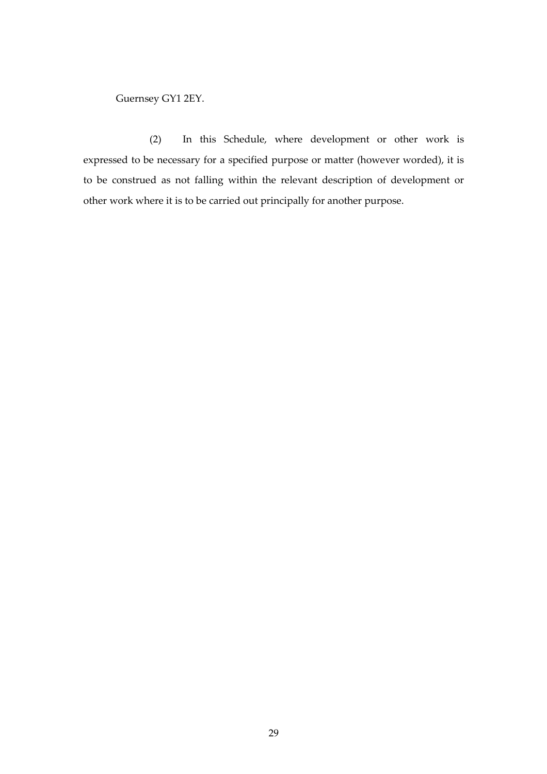Guernsey GY1 2EY.

 (2) In this Schedule, where development or other work is expressed to be necessary for a specified purpose or matter (however worded), it is to be construed as not falling within the relevant description of development or other work where it is to be carried out principally for another purpose.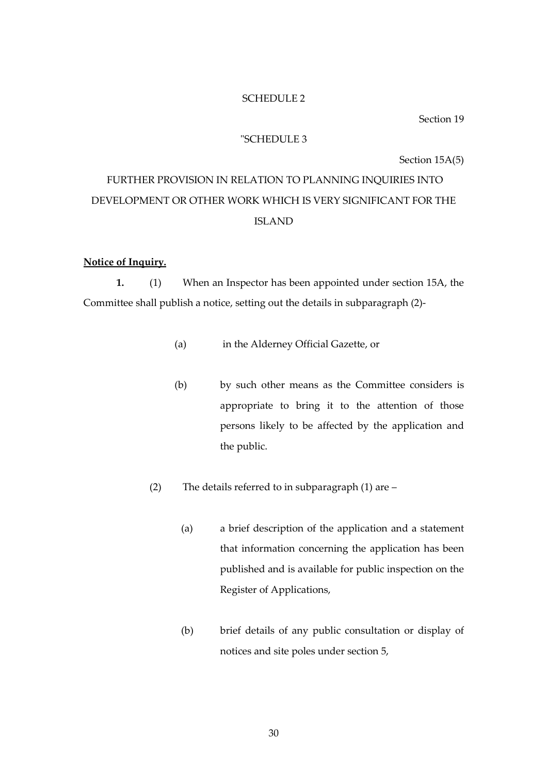#### SCHEDULE 2

Section 19

### "SCHEDULE 3

Section 15A(5)

# FURTHER PROVISION IN RELATION TO PLANNING INQUIRIES INTO DEVELOPMENT OR OTHER WORK WHICH IS VERY SIGNIFICANT FOR THE ISLAND

### **Notice of Inquiry.**

**1.** (1) When an Inspector has been appointed under section 15A, the Committee shall publish a notice, setting out the details in subparagraph (2)-

- (a) in the Alderney Official Gazette, or
- (b) by such other means as the Committee considers is appropriate to bring it to the attention of those persons likely to be affected by the application and the public.
- (2) The details referred to in subparagraph (1) are
	- (a) a brief description of the application and a statement that information concerning the application has been published and is available for public inspection on the Register of Applications,
	- (b) brief details of any public consultation or display of notices and site poles under section 5,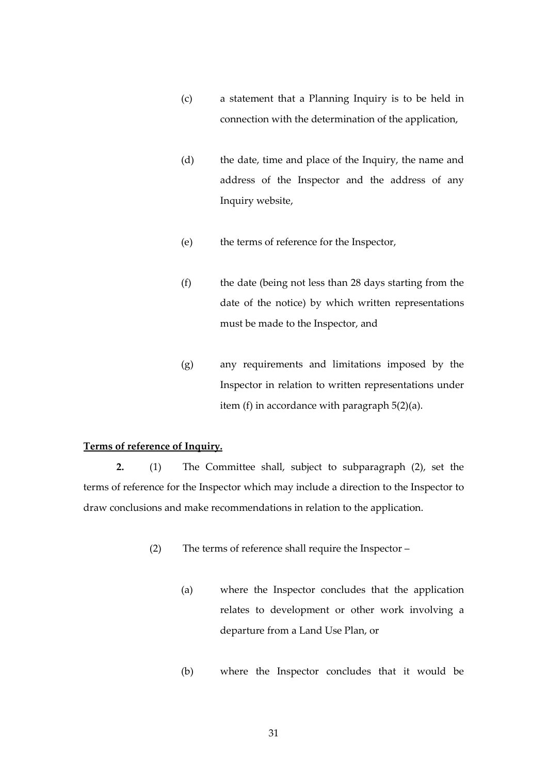- (c) a statement that a Planning Inquiry is to be held in connection with the determination of the application,
- (d) the date, time and place of the Inquiry, the name and address of the Inspector and the address of any Inquiry website,
- (e) the terms of reference for the Inspector,
- (f) the date (being not less than 28 days starting from the date of the notice) by which written representations must be made to the Inspector, and
- (g) any requirements and limitations imposed by the Inspector in relation to written representations under item (f) in accordance with paragraph 5(2)(a).

### **Terms of reference of Inquiry.**

**2.** (1) The Committee shall, subject to subparagraph (2), set the terms of reference for the Inspector which may include a direction to the Inspector to draw conclusions and make recommendations in relation to the application.

- (2) The terms of reference shall require the Inspector
	- (a) where the Inspector concludes that the application relates to development or other work involving a departure from a Land Use Plan, or
	- (b) where the Inspector concludes that it would be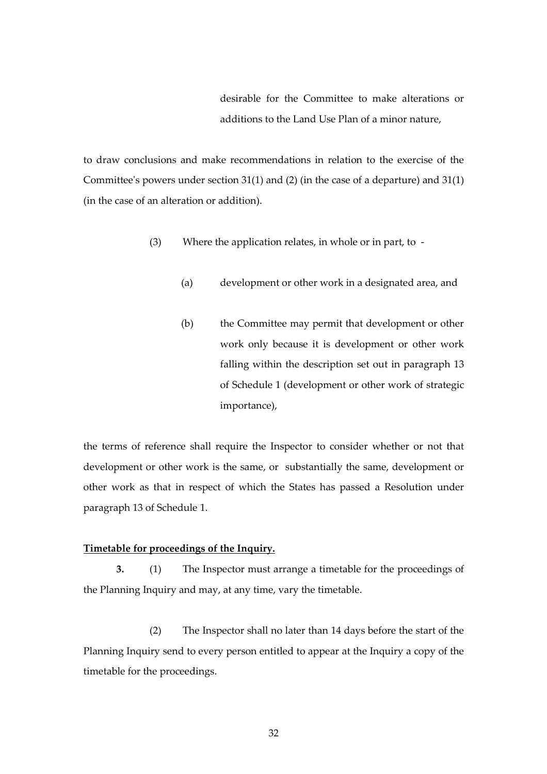desirable for the Committee to make alterations or additions to the Land Use Plan of a minor nature,

to draw conclusions and make recommendations in relation to the exercise of the Committee's powers under section 31(1) and (2) (in the case of a departure) and 31(1) (in the case of an alteration or addition).

- (3) Where the application relates, in whole or in part, to
	- (a) development or other work in a designated area, and
	- (b) the Committee may permit that development or other work only because it is development or other work falling within the description set out in paragraph 13 of Schedule 1 (development or other work of strategic importance),

the terms of reference shall require the Inspector to consider whether or not that development or other work is the same, or substantially the same, development or other work as that in respect of which the States has passed a Resolution under paragraph 13 of Schedule 1.

### **Timetable for proceedings of the Inquiry.**

 **3.** (1) The Inspector must arrange a timetable for the proceedings of the Planning Inquiry and may, at any time, vary the timetable.

 (2) The Inspector shall no later than 14 days before the start of the Planning Inquiry send to every person entitled to appear at the Inquiry a copy of the timetable for the proceedings.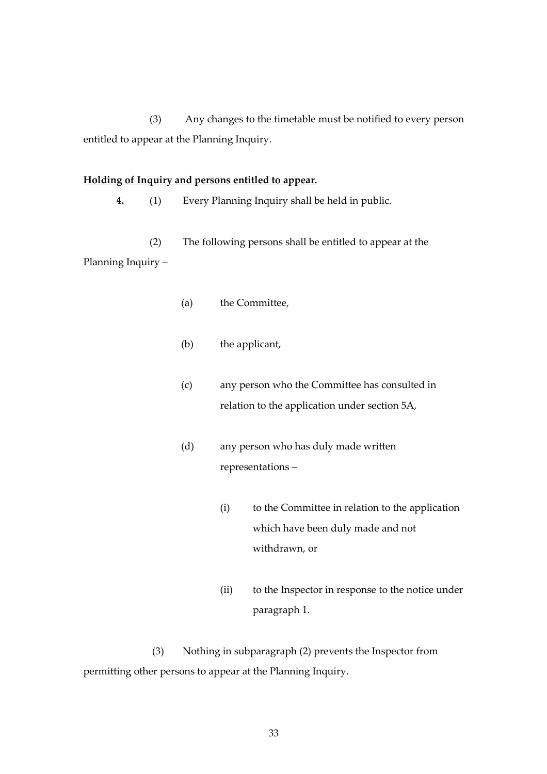(3) Any changes to the timetable must be notified to every person entitled to appear at the Planning Inquiry.

### **Holding of Inquiry and persons entitled to appear.**

 **4.** (1) Every Planning Inquiry shall be held in public.

(2) The following persons shall be entitled to appear at the Planning Inquiry –

- (a) the Committee,
- (b) the applicant,
- (c) any person who the Committee has consulted in relation to the application under section 5A,
- (d) any person who has duly made written representations –
	- (i) to the Committee in relation to the application which have been duly made and not withdrawn, or
	- (ii) to the Inspector in response to the notice under paragraph 1.

 (3) Nothing in subparagraph (2) prevents the Inspector from permitting other persons to appear at the Planning Inquiry.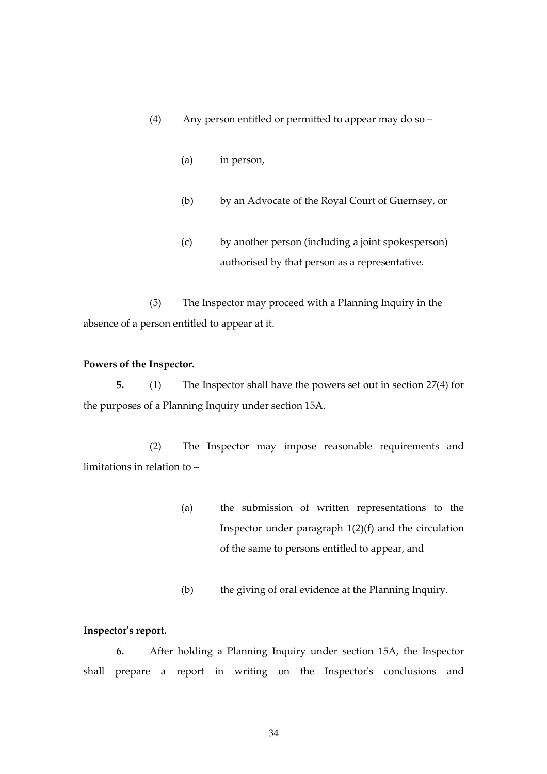- (4) Any person entitled or permitted to appear may do so
	- (a) in person,
	- (b) by an Advocate of the Royal Court of Guernsey, or
	- (c) by another person (including a joint spokesperson) authorised by that person as a representative.

 (5) The Inspector may proceed with a Planning Inquiry in the absence of a person entitled to appear at it.

### **Powers of the Inspector.**

 **5.** (1) The Inspector shall have the powers set out in section 27(4) for the purposes of a Planning Inquiry under section 15A.

 (2) The Inspector may impose reasonable requirements and limitations in relation to –

- (a) the submission of written representations to the Inspector under paragraph 1(2)(f) and the circulation of the same to persons entitled to appear, and
- (b) the giving of oral evidence at the Planning Inquiry.

### **Inspector's report.**

 **6.** After holding a Planning Inquiry under section 15A, the Inspector shall prepare a report in writing on the Inspector's conclusions and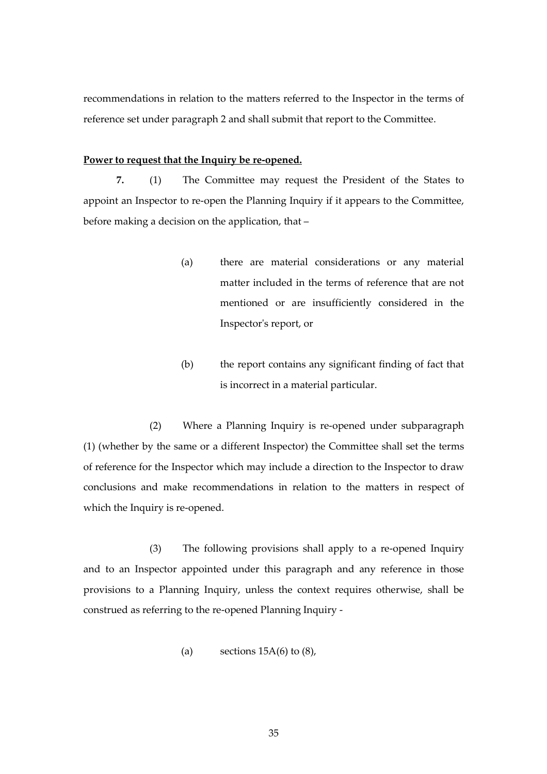recommendations in relation to the matters referred to the Inspector in the terms of reference set under paragraph 2 and shall submit that report to the Committee.

### **Power to request that the Inquiry be re-opened.**

**7.** (1) The Committee may request the President of the States to appoint an Inspector to re-open the Planning Inquiry if it appears to the Committee, before making a decision on the application, that –

- (a) there are material considerations or any material matter included in the terms of reference that are not mentioned or are insufficiently considered in the Inspector's report, or
- (b) the report contains any significant finding of fact that is incorrect in a material particular.

 (2) Where a Planning Inquiry is re-opened under subparagraph (1) (whether by the same or a different Inspector) the Committee shall set the terms of reference for the Inspector which may include a direction to the Inspector to draw conclusions and make recommendations in relation to the matters in respect of which the Inquiry is re-opened.

 (3) The following provisions shall apply to a re-opened Inquiry and to an Inspector appointed under this paragraph and any reference in those provisions to a Planning Inquiry, unless the context requires otherwise, shall be construed as referring to the re-opened Planning Inquiry -

(a) sections  $15A(6)$  to  $(8)$ ,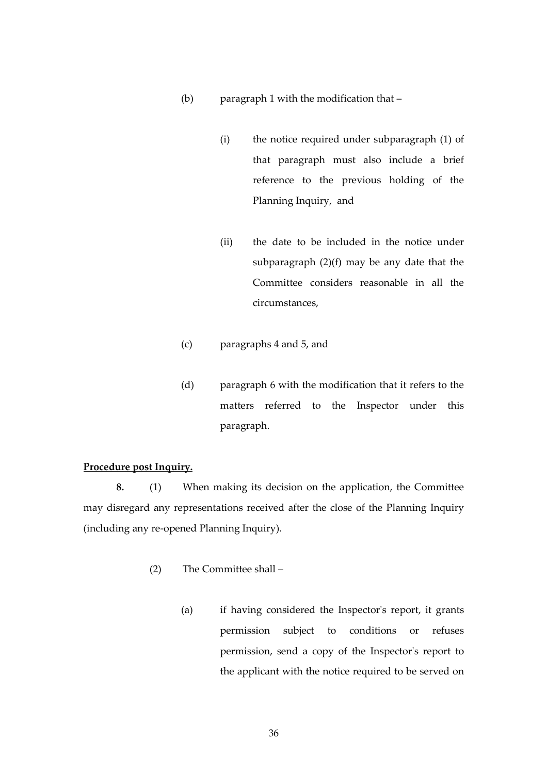- (b) paragraph 1 with the modification that
	- (i) the notice required under subparagraph (1) of that paragraph must also include a brief reference to the previous holding of the Planning Inquiry, and
	- (ii) the date to be included in the notice under subparagraph (2)(f) may be any date that the Committee considers reasonable in all the circumstances,
- (c) paragraphs 4 and 5, and
- (d) paragraph 6 with the modification that it refers to the matters referred to the Inspector under this paragraph.

## **Procedure post Inquiry.**

 **8.** (1) When making its decision on the application, the Committee may disregard any representations received after the close of the Planning Inquiry (including any re-opened Planning Inquiry).

- (2) The Committee shall
	- (a) if having considered the Inspector's report, it grants permission subject to conditions or refuses permission, send a copy of the Inspector's report to the applicant with the notice required to be served on